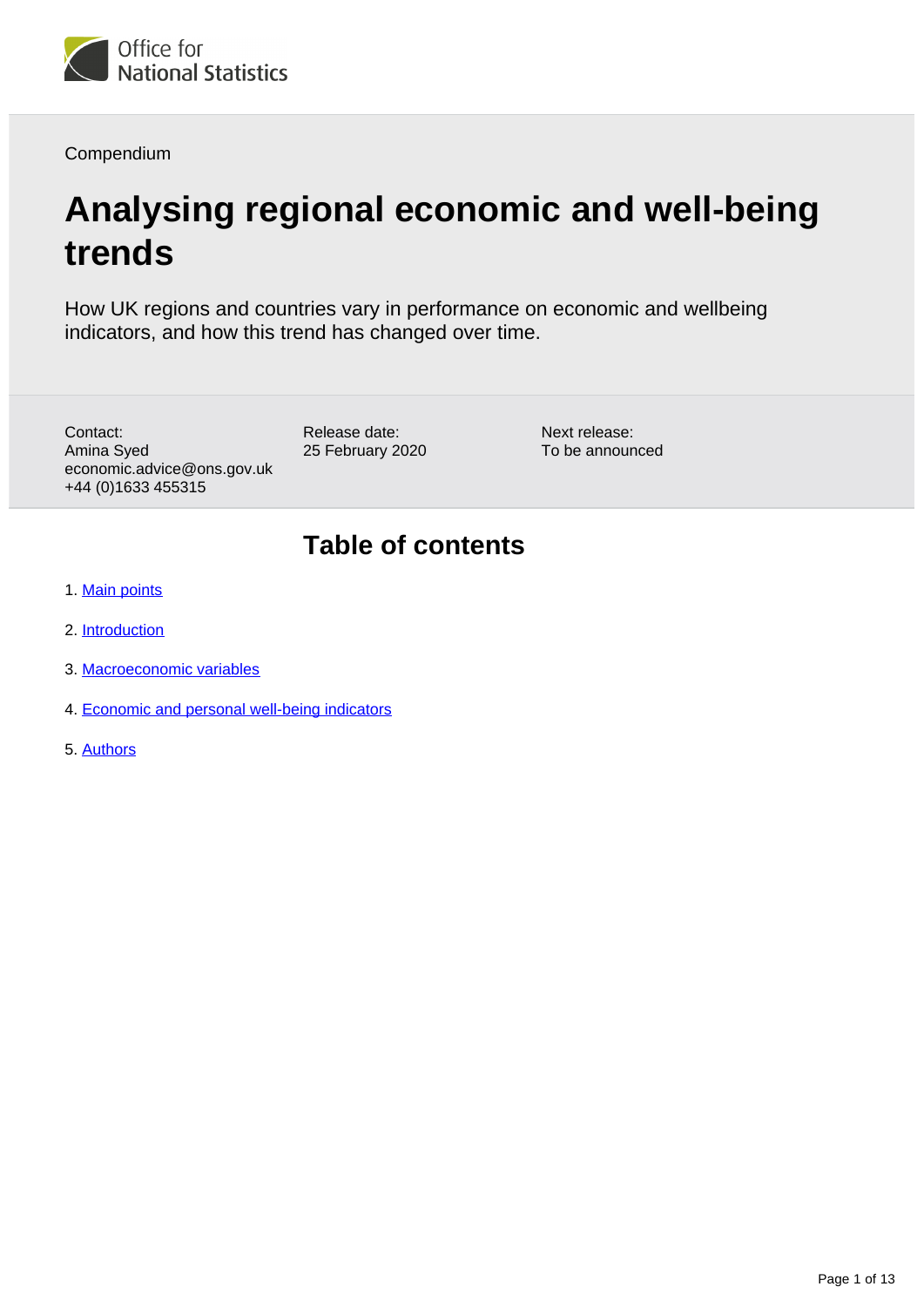

Compendium

# **Analysing regional economic and well-being trends**

How UK regions and countries vary in performance on economic and wellbeing indicators, and how this trend has changed over time.

Contact: Amina Syed economic.advice@ons.gov.uk +44 (0)1633 455315

Release date: 25 February 2020

Next release: To be announced

# **Table of contents**

- 1. [Main points](#page-1-0)
- 2. [Introduction](#page-1-1)
- 3. [Macroeconomic variables](#page-1-2)
- 4. [Economic and personal well-being indicators](#page-9-0)
- 5. [Authors](#page-12-0)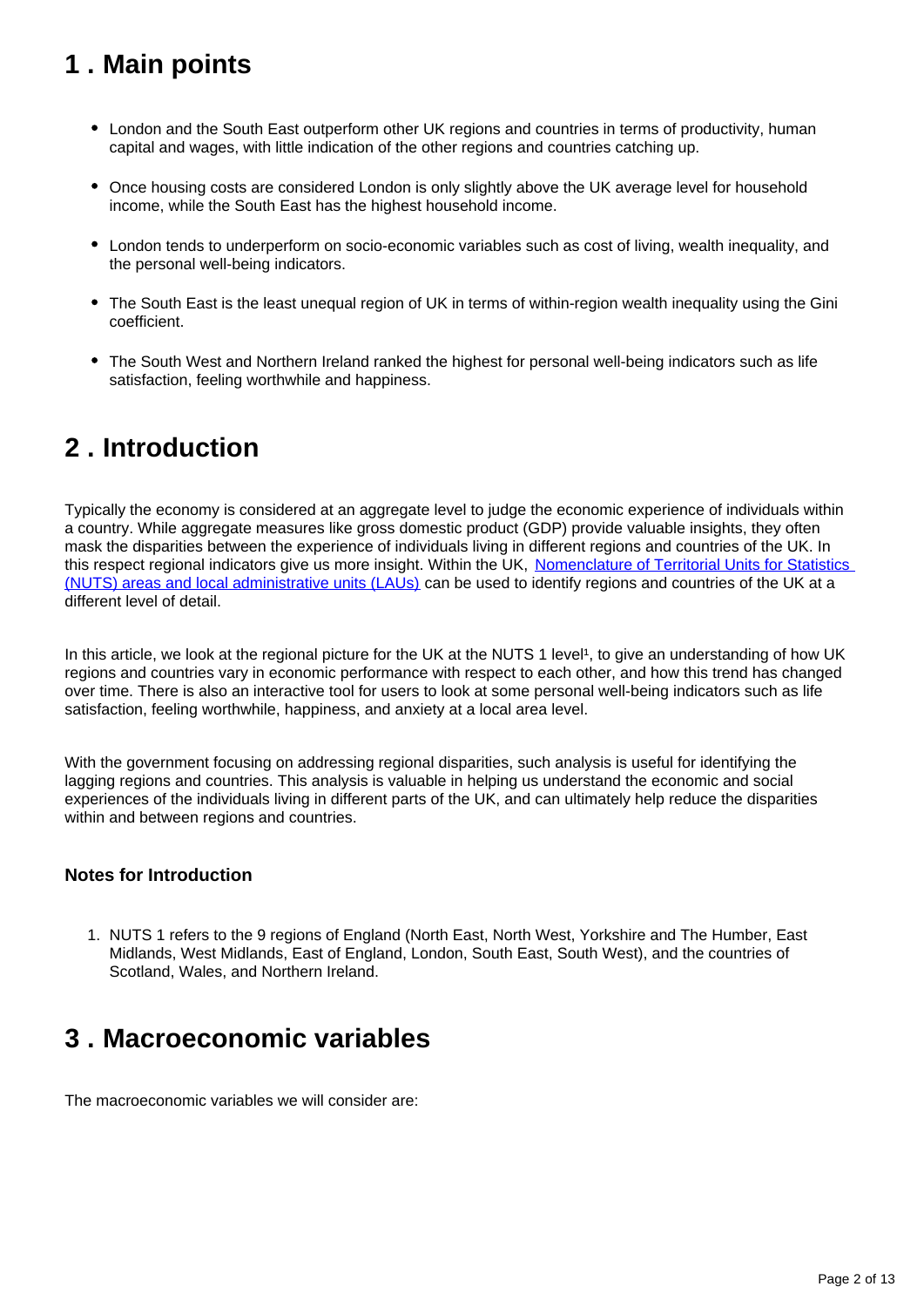# <span id="page-1-0"></span>**1 . Main points**

- London and the South East outperform other UK regions and countries in terms of productivity, human capital and wages, with little indication of the other regions and countries catching up.
- Once housing costs are considered London is only slightly above the UK average level for household income, while the South East has the highest household income.
- London tends to underperform on socio-economic variables such as cost of living, wealth inequality, and the personal well-being indicators.
- The South East is the least unequal region of UK in terms of within-region wealth inequality using the Gini coefficient.
- The South West and Northern Ireland ranked the highest for personal well-being indicators such as life satisfaction, feeling worthwhile and happiness.

# <span id="page-1-1"></span>**2 . Introduction**

Typically the economy is considered at an aggregate level to judge the economic experience of individuals within a country. While aggregate measures like gross domestic product (GDP) provide valuable insights, they often mask the disparities between the experience of individuals living in different regions and countries of the UK. In this respect regional indicators give us more insight. Within the UK, Nomenclature of Territorial Units for Statistics [\(NUTS\) areas and local administrative units \(LAUs\)](https://www.ons.gov.uk/methodology/geography/ukgeographies/eurostat) can be used to identify regions and countries of the UK at a different level of detail.

In this article, we look at the regional picture for the UK at the NUTS 1 level<sup>1</sup>, to give an understanding of how UK regions and countries vary in economic performance with respect to each other, and how this trend has changed over time. There is also an interactive tool for users to look at some personal well-being indicators such as life satisfaction, feeling worthwhile, happiness, and anxiety at a local area level.

With the government focusing on addressing regional disparities, such analysis is useful for identifying the lagging regions and countries. This analysis is valuable in helping us understand the economic and social experiences of the individuals living in different parts of the UK, and can ultimately help reduce the disparities within and between regions and countries.

## **Notes for Introduction**

1. NUTS 1 refers to the 9 regions of England (North East, North West, Yorkshire and The Humber, East Midlands, West Midlands, East of England, London, South East, South West), and the countries of Scotland, Wales, and Northern Ireland.

# <span id="page-1-2"></span>**3 . Macroeconomic variables**

The macroeconomic variables we will consider are: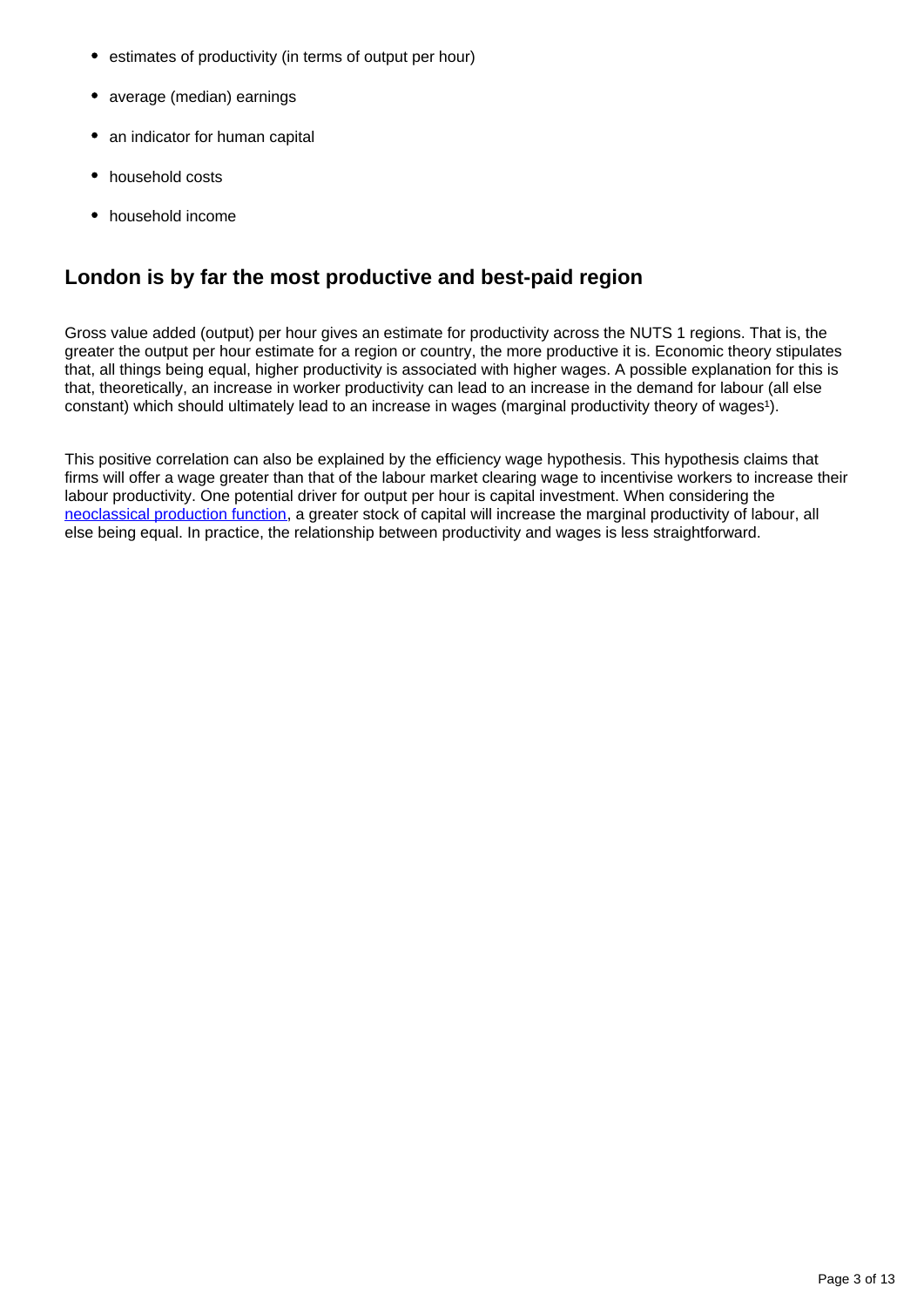- estimates of productivity (in terms of output per hour)
- average (median) earnings
- an indicator for human capital
- household costs
- household income

# **London is by far the most productive and best-paid region**

Gross value added (output) per hour gives an estimate for productivity across the NUTS 1 regions. That is, the greater the output per hour estimate for a region or country, the more productive it is. Economic theory stipulates that, all things being equal, higher productivity is associated with higher wages. A possible explanation for this is that, theoretically, an increase in worker productivity can lead to an increase in the demand for labour (all else constant) which should ultimately lead to an increase in wages (marginal productivity theory of wages<sup>1</sup>).

This positive correlation can also be explained by the efficiency wage hypothesis. This hypothesis claims that firms will offer a wage greater than that of the labour market clearing wage to incentivise workers to increase their labour productivity. One potential driver for output per hour is capital investment. When considering the [neoclassical production function](https://courses.lumenlearning.com/boundless-economics/chapter/the-production-function/), a greater stock of capital will increase the marginal productivity of labour, all else being equal. In practice, the relationship between productivity and wages is less straightforward.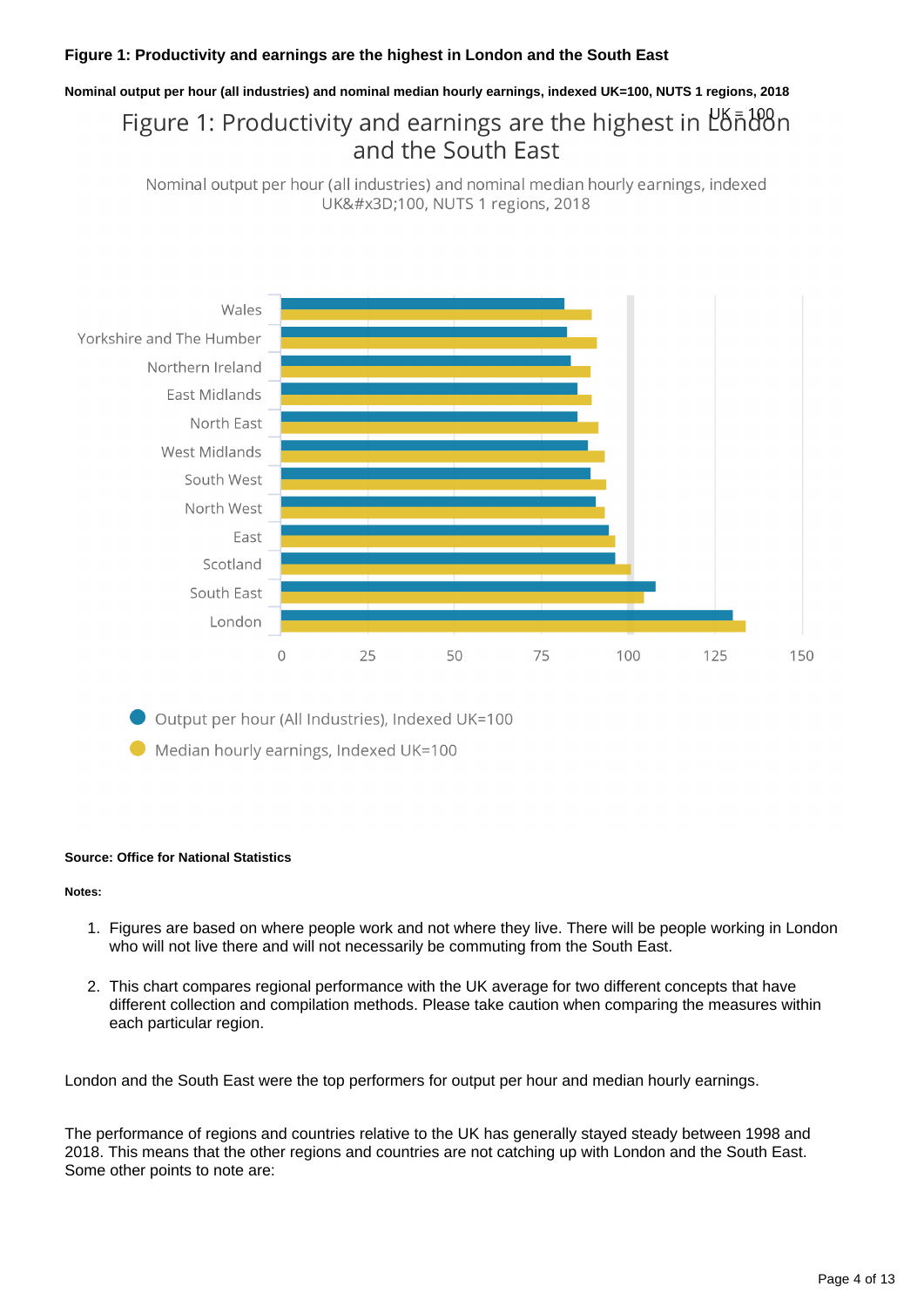### **Figure 1: Productivity and earnings are the highest in London and the South East**

# **Nominal output per hour (all industries) and nominal median hourly earnings, indexed UK=100, NUTS 1 regions, 2018** Figure 1: Productivity and earnings are the highest in Lonalgon

Nominal output per hour (all industries) and nominal median hourly earnings, indexed UK=100, NUTS 1 regions, 2018

and the South East



Output per hour (All Industries), Indexed UK=100

Median hourly earnings, Indexed UK=100

#### **Source: Office for National Statistics**

**Notes:**

- 1. Figures are based on where people work and not where they live. There will be people working in London who will not live there and will not necessarily be commuting from the South East.
- 2. This chart compares regional performance with the UK average for two different concepts that have different collection and compilation methods. Please take caution when comparing the measures within each particular region.

London and the South East were the top performers for output per hour and median hourly earnings.

The performance of regions and countries relative to the UK has generally stayed steady between 1998 and 2018. This means that the other regions and countries are not catching up with London and the South East. Some other points to note are: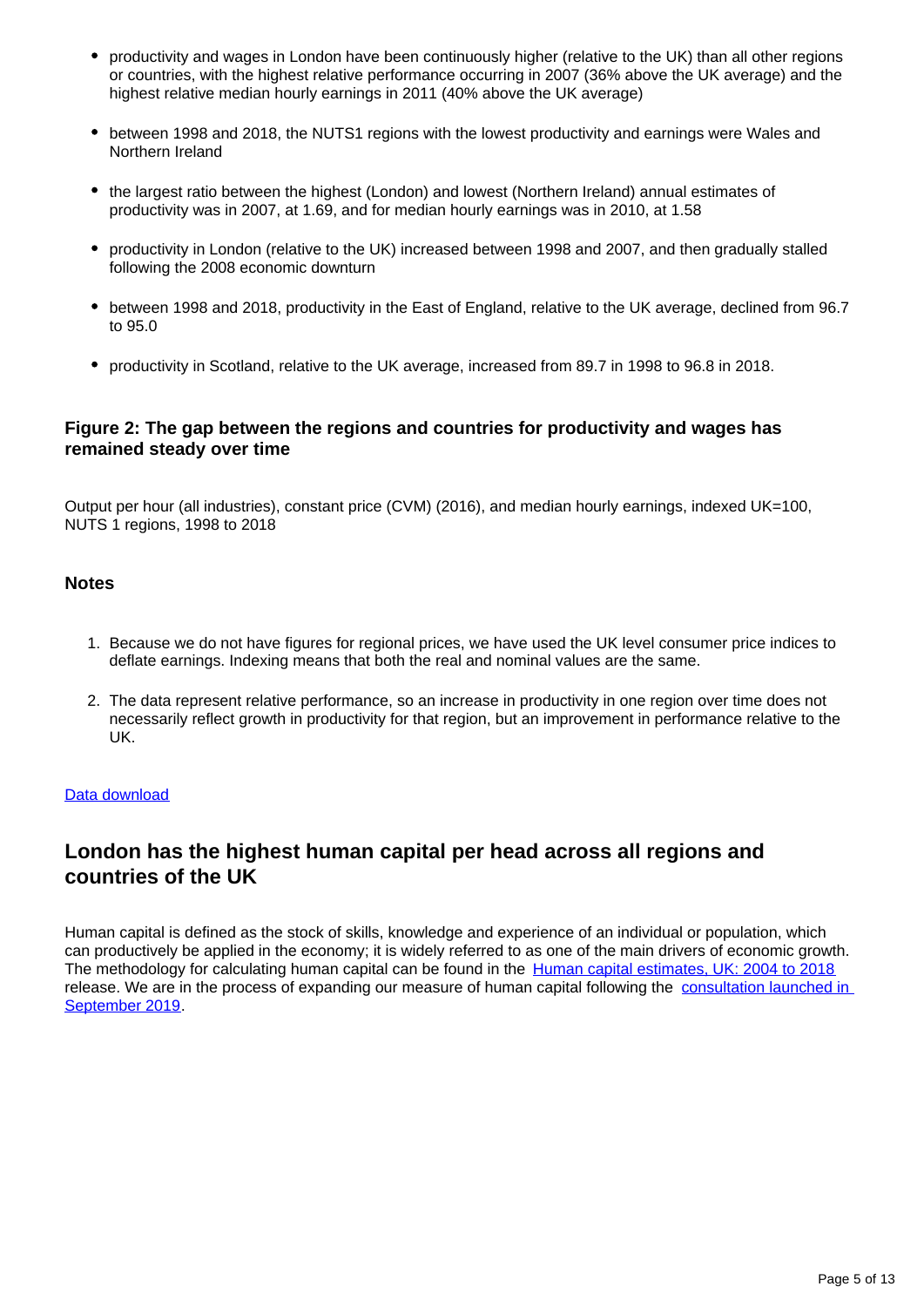- productivity and wages in London have been continuously higher (relative to the UK) than all other regions or countries, with the highest relative performance occurring in 2007 (36% above the UK average) and the highest relative median hourly earnings in 2011 (40% above the UK average)
- between 1998 and 2018, the NUTS1 regions with the lowest productivity and earnings were Wales and Northern Ireland
- the largest ratio between the highest (London) and lowest (Northern Ireland) annual estimates of productivity was in 2007, at 1.69, and for median hourly earnings was in 2010, at 1.58
- productivity in London (relative to the UK) increased between 1998 and 2007, and then gradually stalled following the 2008 economic downturn
- between 1998 and 2018, productivity in the East of England, relative to the UK average, declined from 96.7 to 95.0
- productivity in Scotland, relative to the UK average, increased from 89.7 in 1998 to 96.8 in 2018.

## **Figure 2: The gap between the regions and countries for productivity and wages has remained steady over time**

Output per hour (all industries), constant price (CVM) (2016), and median hourly earnings, indexed UK=100, NUTS 1 regions, 1998 to 2018

### **Notes**

- 1. Because we do not have figures for regional prices, we have used the UK level consumer price indices to deflate earnings. Indexing means that both the real and nominal values are the same.
- 2. The data represent relative performance, so an increase in productivity in one region over time does not necessarily reflect growth in productivity for that region, but an improvement in performance relative to the UK.

#### [Data download](https://www.ons.gov.uk/visualisations/dvc754b/regd/fig2/datadownload.xlsx)

## **London has the highest human capital per head across all regions and countries of the UK**

Human capital is defined as the stock of skills, knowledge and experience of an individual or population, which can productively be applied in the economy; it is widely referred to as one of the main drivers of economic growth. The methodology for calculating human capital can be found in the [Human capital estimates, UK: 2004 to 2018](https://www.ons.gov.uk/peoplepopulationandcommunity/wellbeing/articles/humancapitalestimates/2004to2018) release. We are in the process of expanding our measure of human capital following the [consultation launched in](https://consultations.ons.gov.uk/well-being-inequalities-sustainability-and-environment/indicator-based-approach-to-measuring-human-capita/)  [September 2019.](https://consultations.ons.gov.uk/well-being-inequalities-sustainability-and-environment/indicator-based-approach-to-measuring-human-capita/)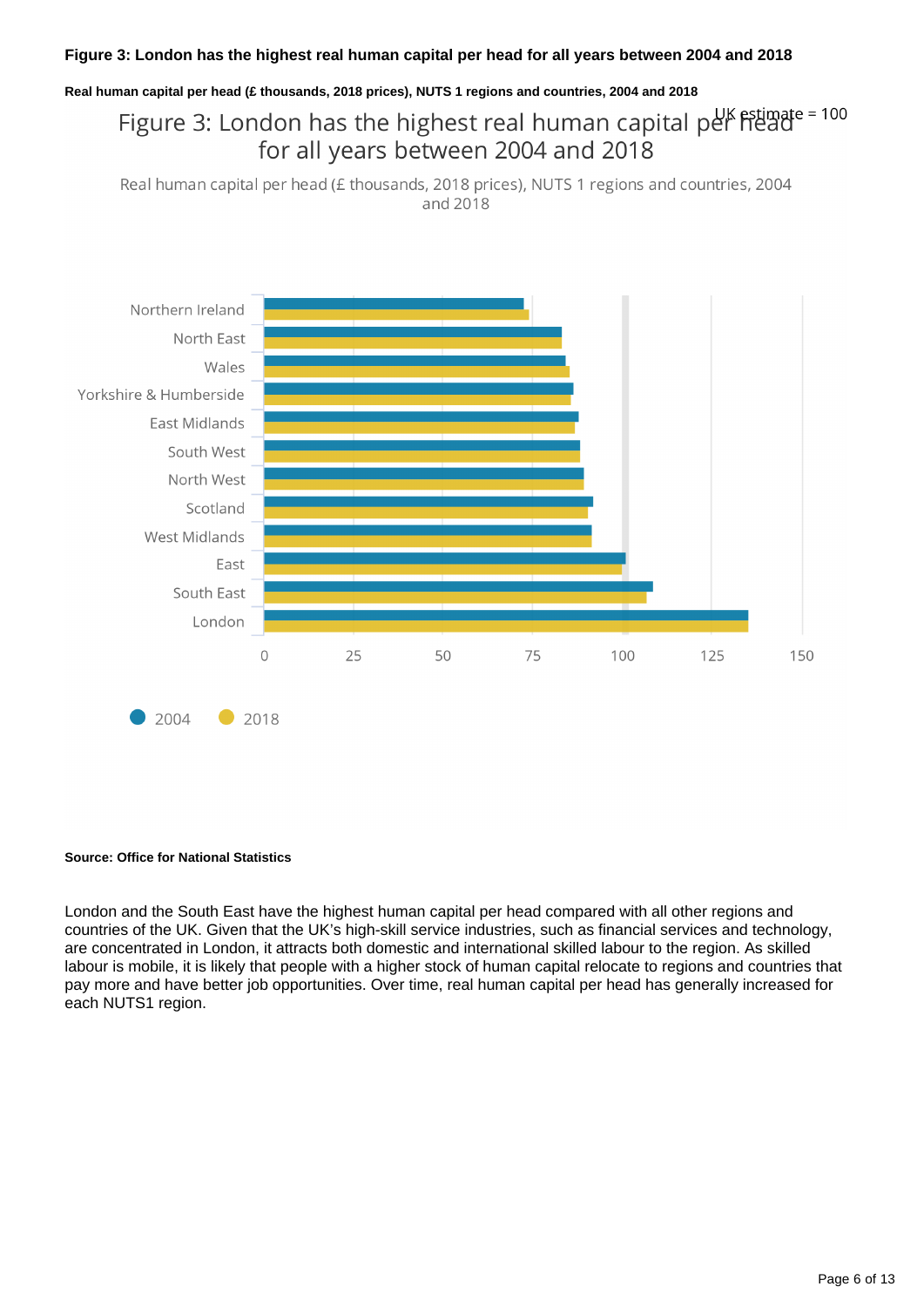### **Figure 3: London has the highest real human capital per head for all years between 2004 and 2018**

#### **Real human capital per head (£ thousands, 2018 prices), NUTS 1 regions and countries, 2004 and 2018**

# Figure 3: London has the highest real human capital per heade = 100 for all years between 2004 and 2018

Real human capital per head (£ thousands, 2018 prices), NUTS 1 regions and countries, 2004 and 2018



#### **Source: Office for National Statistics**

London and the South East have the highest human capital per head compared with all other regions and countries of the UK. Given that the UK's high-skill service industries, such as financial services and technology, are concentrated in London, it attracts both domestic and international skilled labour to the region. As skilled labour is mobile, it is likely that people with a higher stock of human capital relocate to regions and countries that pay more and have better job opportunities. Over time, real human capital per head has generally increased for each NUTS1 region.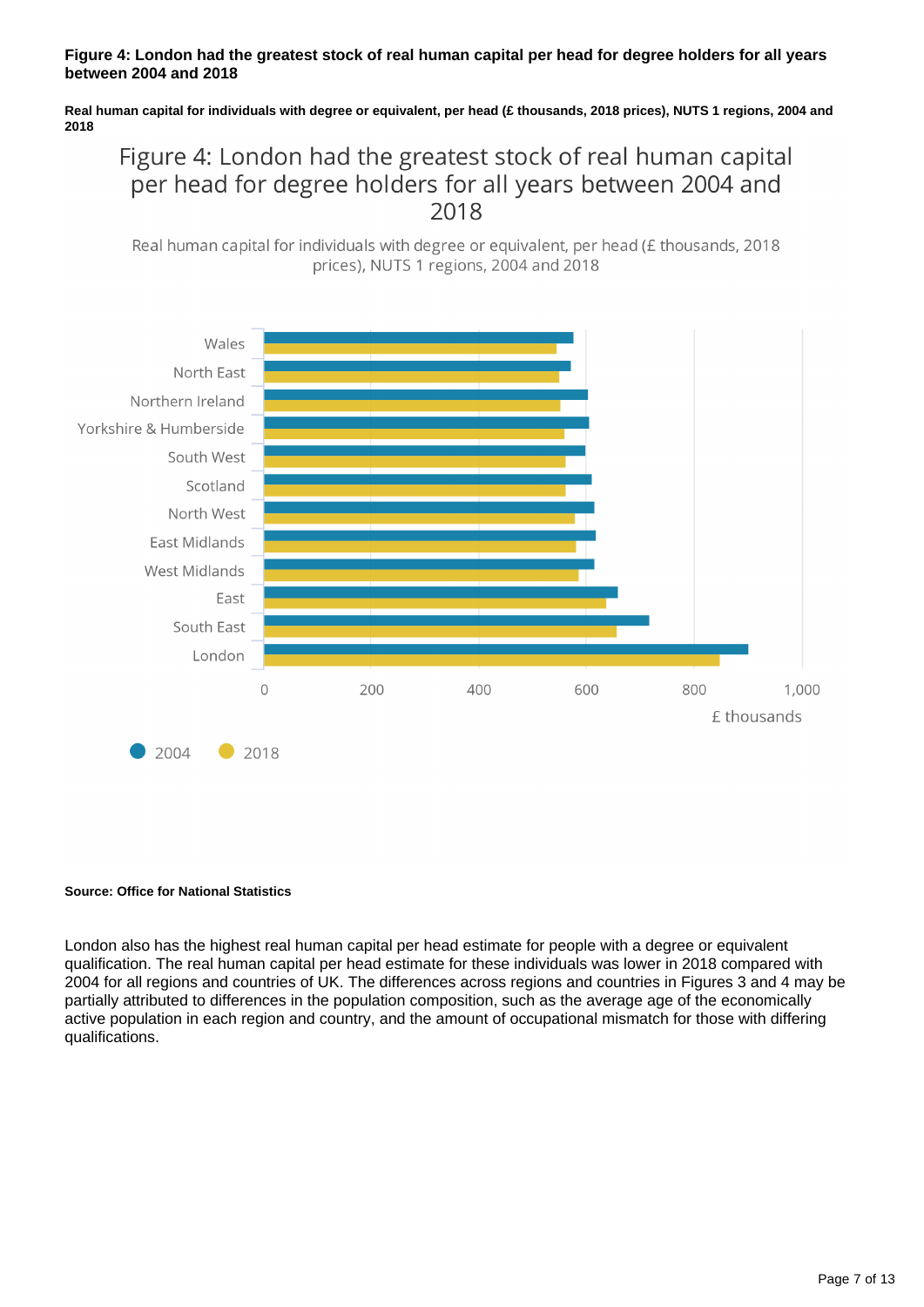### **Figure 4: London had the greatest stock of real human capital per head for degree holders for all years between 2004 and 2018**

**Real human capital for individuals with degree or equivalent, per head (£ thousands, 2018 prices), NUTS 1 regions, 2004 and 2018**

# Figure 4: London had the greatest stock of real human capital per head for degree holders for all years between 2004 and 2018

Real human capital for individuals with degree or equivalent, per head (£ thousands, 2018) prices), NUTS 1 regions, 2004 and 2018



#### **Source: Office for National Statistics**

London also has the highest real human capital per head estimate for people with a degree or equivalent qualification. The real human capital per head estimate for these individuals was lower in 2018 compared with 2004 for all regions and countries of UK. The differences across regions and countries in Figures 3 and 4 may be partially attributed to differences in the population composition, such as the average age of the economically active population in each region and country, and the amount of occupational mismatch for those with differing qualifications.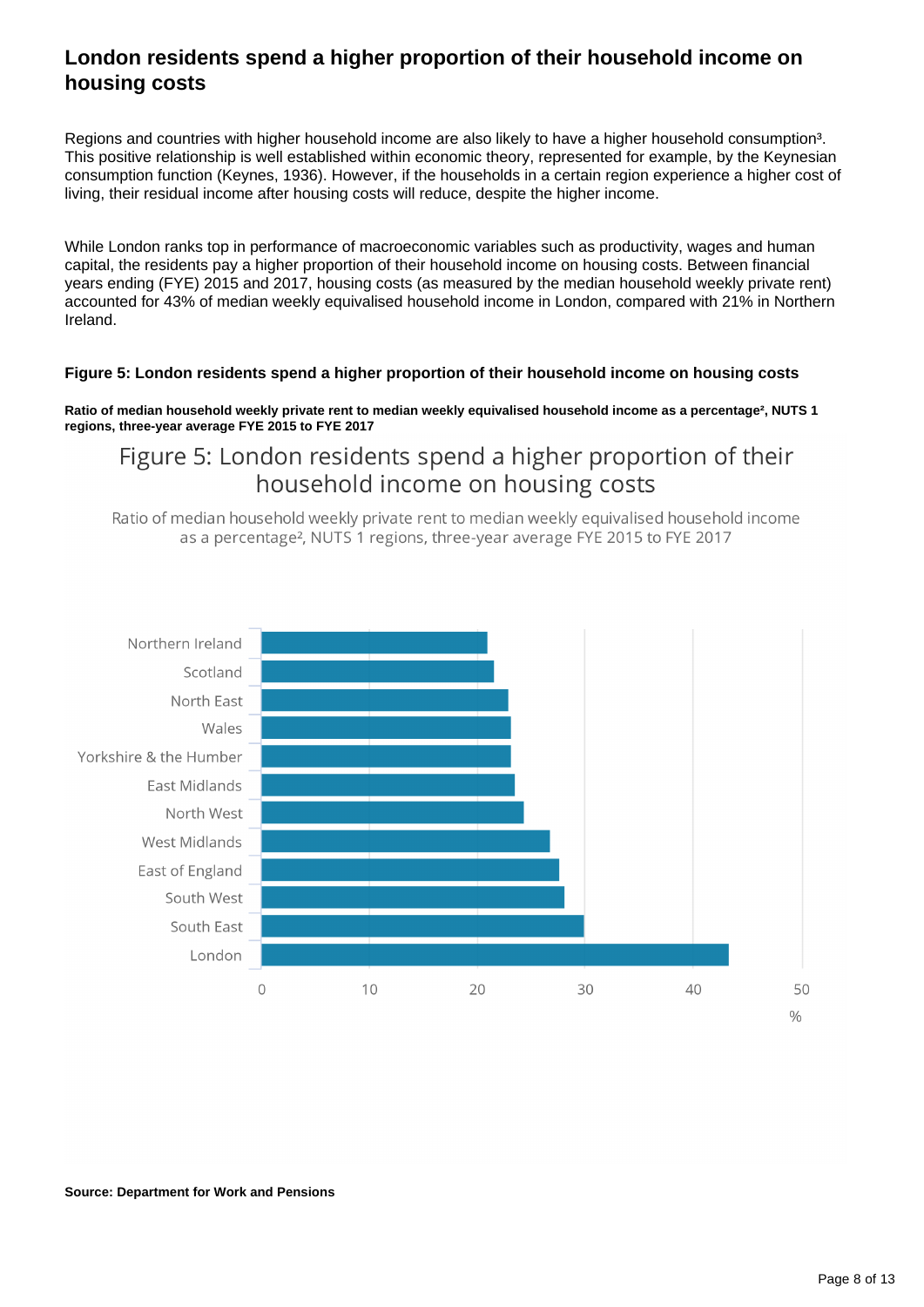## **London residents spend a higher proportion of their household income on housing costs**

Regions and countries with higher household income are also likely to have a higher household consumption<sup>3</sup>. This positive relationship is well established within economic theory, represented for example, by the Keynesian consumption function (Keynes, 1936). However, if the households in a certain region experience a higher cost of living, their residual income after housing costs will reduce, despite the higher income.

While London ranks top in performance of macroeconomic variables such as productivity, wages and human capital, the residents pay a higher proportion of their household income on housing costs. Between financial years ending (FYE) 2015 and 2017, housing costs (as measured by the median household weekly private rent) accounted for 43% of median weekly equivalised household income in London, compared with 21% in Northern Ireland.

### **Figure 5: London residents spend a higher proportion of their household income on housing costs**

**Ratio of median household weekly private rent to median weekly equivalised household income as a percentage², NUTS 1 regions, three-year average FYE 2015 to FYE 2017**

# Figure 5: London residents spend a higher proportion of their household income on housing costs

Ratio of median household weekly private rent to median weekly equivalised household income as a percentage<sup>2</sup>. NUTS 1 regions, three-year average FYE 2015 to FYE 2017

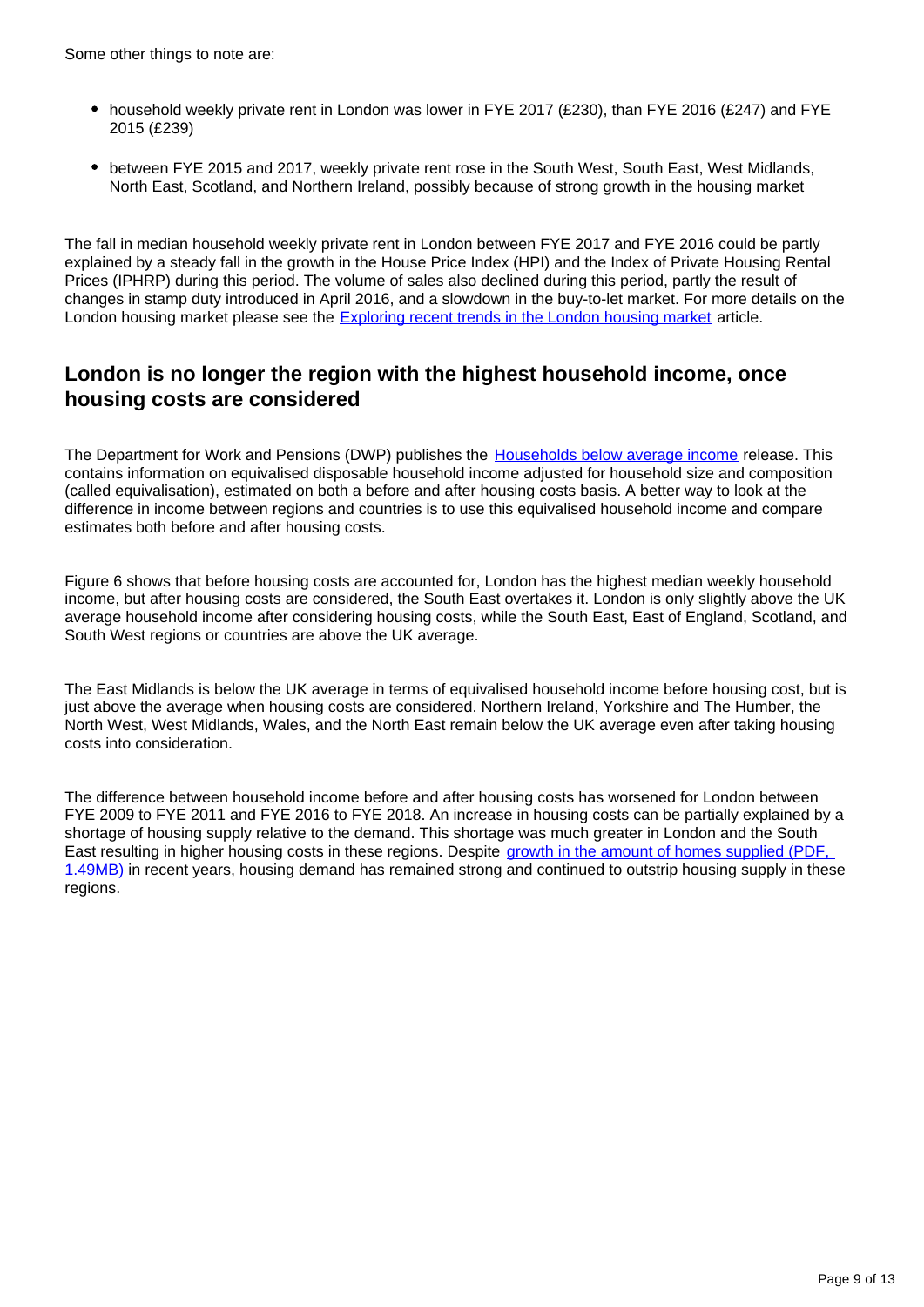Some other things to note are:

- household weekly private rent in London was lower in FYE 2017 (£230), than FYE 2016 (£247) and FYE 2015 (£239)
- between FYE 2015 and 2017, weekly private rent rose in the South West, South East, West Midlands, North East, Scotland, and Northern Ireland, possibly because of strong growth in the housing market

The fall in median household weekly private rent in London between FYE 2017 and FYE 2016 could be partly explained by a steady fall in the growth in the House Price Index (HPI) and the Index of Private Housing Rental Prices (IPHRP) during this period. The volume of sales also declined during this period, partly the result of changes in stamp duty introduced in April 2016, and a slowdown in the buy-to-let market. For more details on the London housing market please see the [Exploring recent trends in the London housing market](https://www.ons.gov.uk/economy/inflationandpriceindices/articles/exploringrecenttrendsinthelondonhousingmarket/2018-09-19) article.

## **London is no longer the region with the highest household income, once housing costs are considered**

The Department for Work and Pensions (DWP) publishes the [Households below average income](https://www.gov.uk/government/statistics/households-below-average-income-199495-to-201718) release. This contains information on equivalised disposable household income adjusted for household size and composition (called equivalisation), estimated on both a before and after housing costs basis. A better way to look at the difference in income between regions and countries is to use this equivalised household income and compare estimates both before and after housing costs.

Figure 6 shows that before housing costs are accounted for, London has the highest median weekly household income, but after housing costs are considered, the South East overtakes it. London is only slightly above the UK average household income after considering housing costs, while the South East, East of England, Scotland, and South West regions or countries are above the UK average.

The East Midlands is below the UK average in terms of equivalised household income before housing cost, but is just above the average when housing costs are considered. Northern Ireland, Yorkshire and The Humber, the North West, West Midlands, Wales, and the North East remain below the UK average even after taking housing costs into consideration.

The difference between household income before and after housing costs has worsened for London between FYE 2009 to FYE 2011 and FYE 2016 to FYE 2018. An increase in housing costs can be partially explained by a shortage of housing supply relative to the demand. This shortage was much greater in London and the South East resulting in higher housing costs in these regions. Despite [growth in the amount of homes supplied \(PDF,](https://assets.publishing.service.gov.uk/government/uploads/system/uploads/attachment_data/file/850825/Housing_Supply_England_2018-19.pdf)  [1.49MB\)](https://assets.publishing.service.gov.uk/government/uploads/system/uploads/attachment_data/file/850825/Housing_Supply_England_2018-19.pdf) in recent years, housing demand has remained strong and continued to outstrip housing supply in these regions.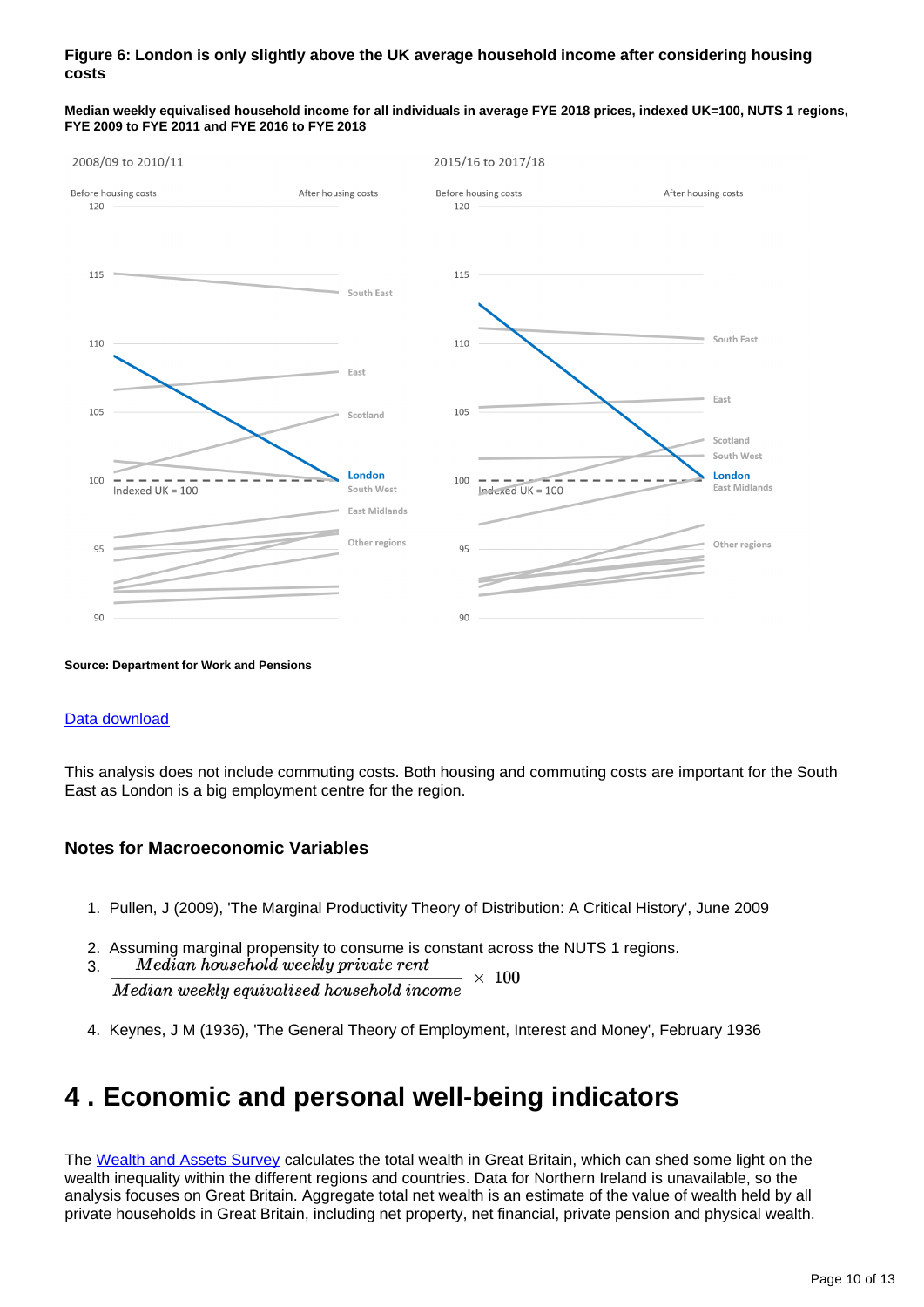### **Figure 6: London is only slightly above the UK average household income after considering housing costs**



**Median weekly equivalised household income for all individuals in average FYE 2018 prices, indexed UK=100, NUTS 1 regions, FYE 2009 to FYE 2011 and FYE 2016 to FYE 2018**

#### **Source: Department for Work and Pensions**

#### [Data download](https://www.ons.gov.uk/visualisations/dvc754b/regd/fig6/datadownload.xlsx)

This analysis does not include commuting costs. Both housing and commuting costs are important for the South East as London is a big employment centre for the region.

### **Notes for Macroeconomic Variables**

- 1. Pullen, J (2009), 'The Marginal Productivity Theory of Distribution: A Critical History', June 2009
- 2. Assuming marginal propensity to consume is constant across the NUTS 1 regions.
- 3.  $\times$  100 Median weekly equivalised household income
- 4. Keynes, J M (1936), 'The General Theory of Employment, Interest and Money', February 1936

# <span id="page-9-0"></span>**4 . Economic and personal well-being indicators**

The [Wealth and Assets Survey](https://www.ons.gov.uk/peoplepopulationandcommunity/personalandhouseholdfinances/incomeandwealth/bulletins/totalwealthingreatbritain/april2016tomarch2018) calculates the total wealth in Great Britain, which can shed some light on the wealth inequality within the different regions and countries. Data for Northern Ireland is unavailable, so the analysis focuses on Great Britain. Aggregate total net wealth is an estimate of the value of wealth held by all private households in Great Britain, including net property, net financial, private pension and physical wealth.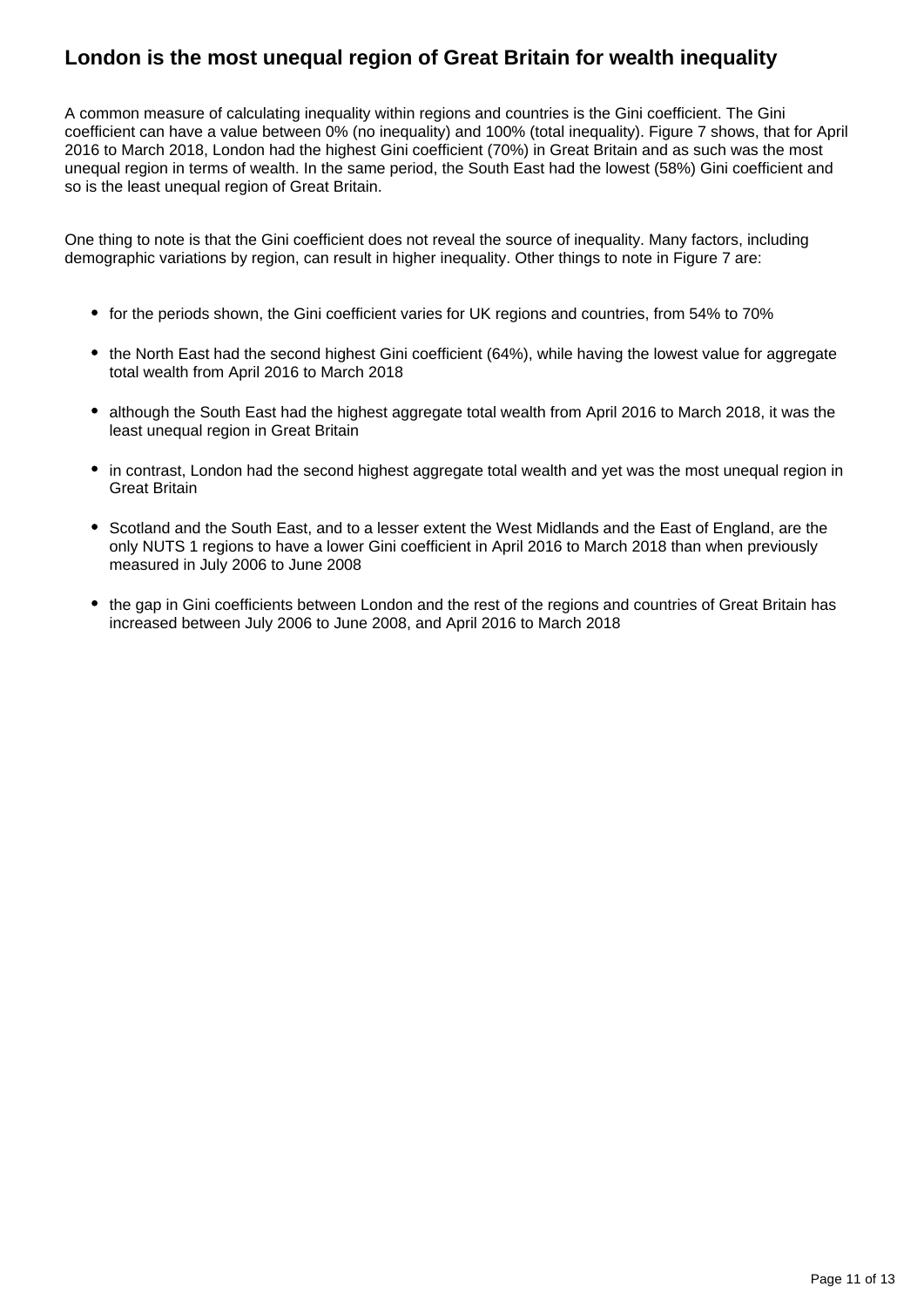## **London is the most unequal region of Great Britain for wealth inequality**

A common measure of calculating inequality within regions and countries is the Gini coefficient. The Gini coefficient can have a value between 0% (no inequality) and 100% (total inequality). Figure 7 shows, that for April 2016 to March 2018, London had the highest Gini coefficient (70%) in Great Britain and as such was the most unequal region in terms of wealth. In the same period, the South East had the lowest (58%) Gini coefficient and so is the least unequal region of Great Britain.

One thing to note is that the Gini coefficient does not reveal the source of inequality. Many factors, including demographic variations by region, can result in higher inequality. Other things to note in Figure 7 are:

- for the periods shown, the Gini coefficient varies for UK regions and countries, from 54% to 70%
- the North East had the second highest Gini coefficient (64%), while having the lowest value for aggregate total wealth from April 2016 to March 2018
- although the South East had the highest aggregate total wealth from April 2016 to March 2018, it was the least unequal region in Great Britain
- in contrast, London had the second highest aggregate total wealth and yet was the most unequal region in Great Britain
- Scotland and the South East, and to a lesser extent the West Midlands and the East of England, are the only NUTS 1 regions to have a lower Gini coefficient in April 2016 to March 2018 than when previously measured in July 2006 to June 2008
- the gap in Gini coefficients between London and the rest of the regions and countries of Great Britain has increased between July 2006 to June 2008, and April 2016 to March 2018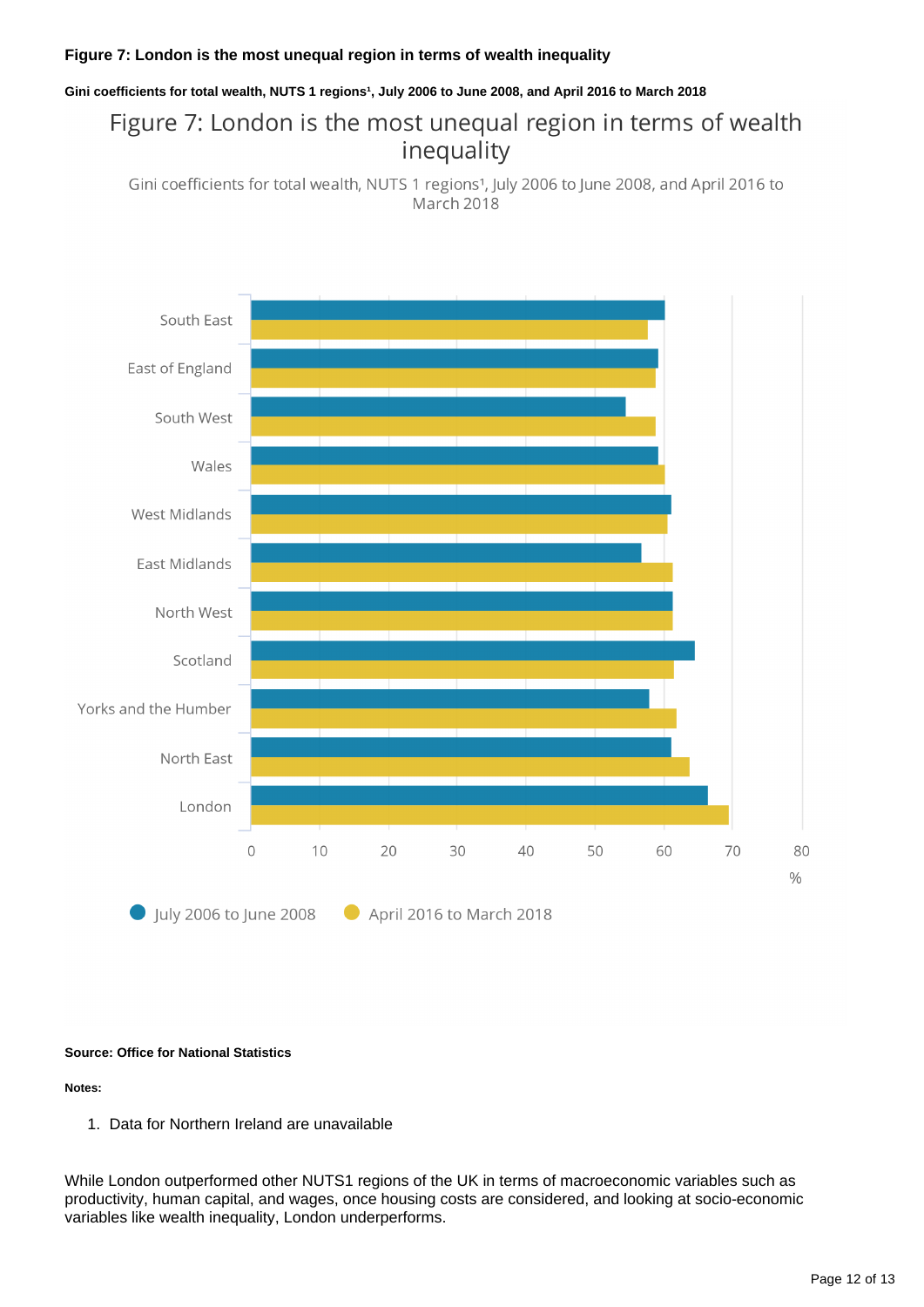### **Figure 7: London is the most unequal region in terms of wealth inequality**

#### Gini coefficients for total wealth, NUTS 1 regions<sup>1</sup>, July 2006 to June 2008, and April 2016 to March 2018

# Figure 7: London is the most unequal region in terms of wealth inequality

Gini coefficients for total wealth, NUTS 1 regions<sup>1</sup>, July 2006 to June 2008, and April 2016 to March 2018



#### **Source: Office for National Statistics**

**Notes:**

1. Data for Northern Ireland are unavailable

While London outperformed other NUTS1 regions of the UK in terms of macroeconomic variables such as productivity, human capital, and wages, once housing costs are considered, and looking at socio-economic variables like wealth inequality, London underperforms.